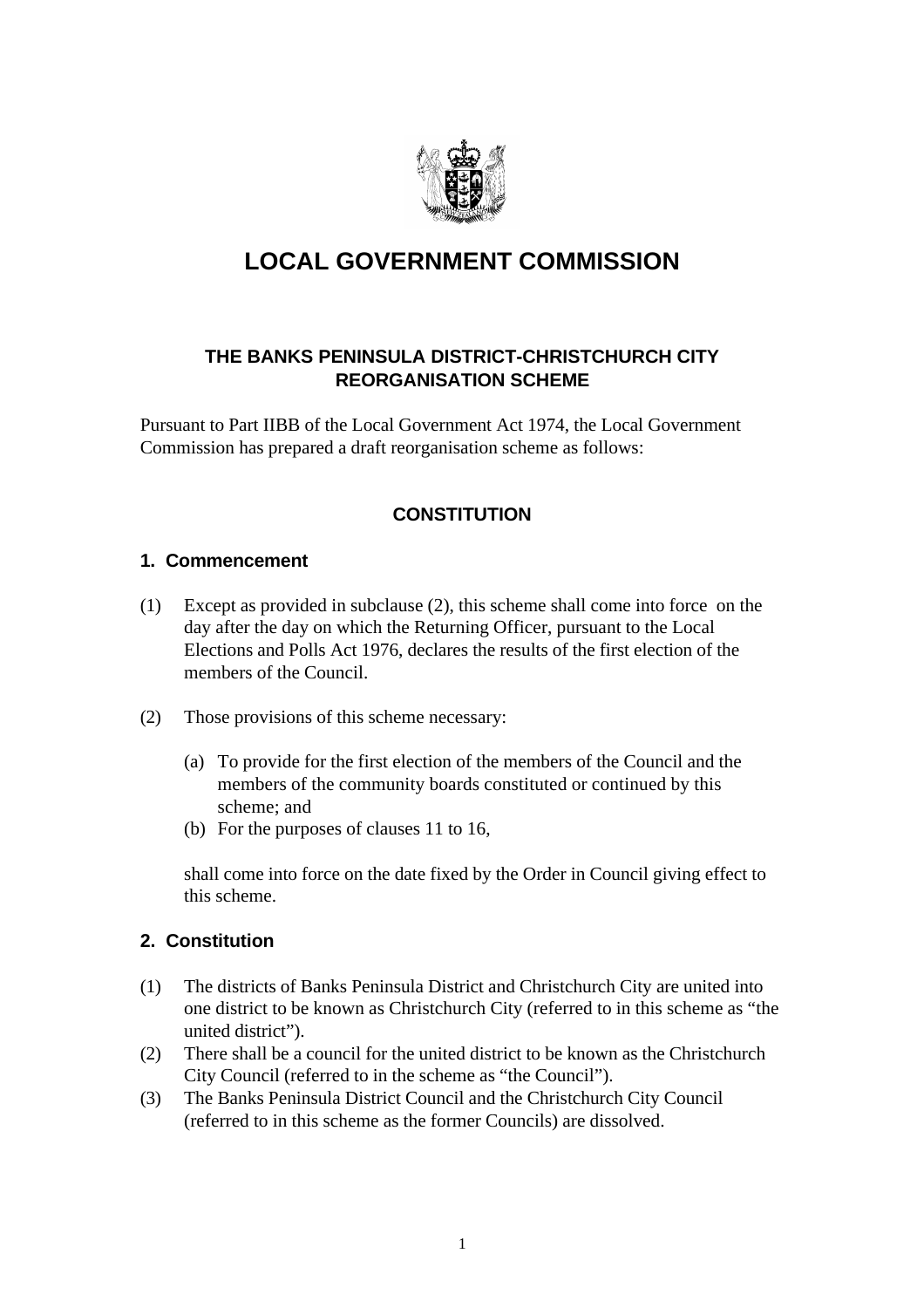

# **LOCAL GOVERNMENT COMMISSION**

## **THE BANKS PENINSULA DISTRICT-CHRISTCHURCH CITY REORGANISATION SCHEME**

Pursuant to Part IIBB of the Local Government Act 1974, the Local Government Commission has prepared a draft reorganisation scheme as follows:

# **CONSTITUTION**

#### **1. Commencement**

- (1) Except as provided in subclause (2), this scheme shall come into force on the day after the day on which the Returning Officer, pursuant to the Local Elections and Polls Act 1976, declares the results of the first election of the members of the Council.
- (2) Those provisions of this scheme necessary:
	- (a) To provide for the first election of the members of the Council and the members of the community boards constituted or continued by this scheme; and
	- (b) For the purposes of clauses 11 to 16,

shall come into force on the date fixed by the Order in Council giving effect to this scheme.

## **2. Constitution**

- (1) The districts of Banks Peninsula District and Christchurch City are united into one district to be known as Christchurch City (referred to in this scheme as "the united district").
- (2) There shall be a council for the united district to be known as the Christchurch City Council (referred to in the scheme as "the Council").
- (3) The Banks Peninsula District Council and the Christchurch City Council (referred to in this scheme as the former Councils) are dissolved.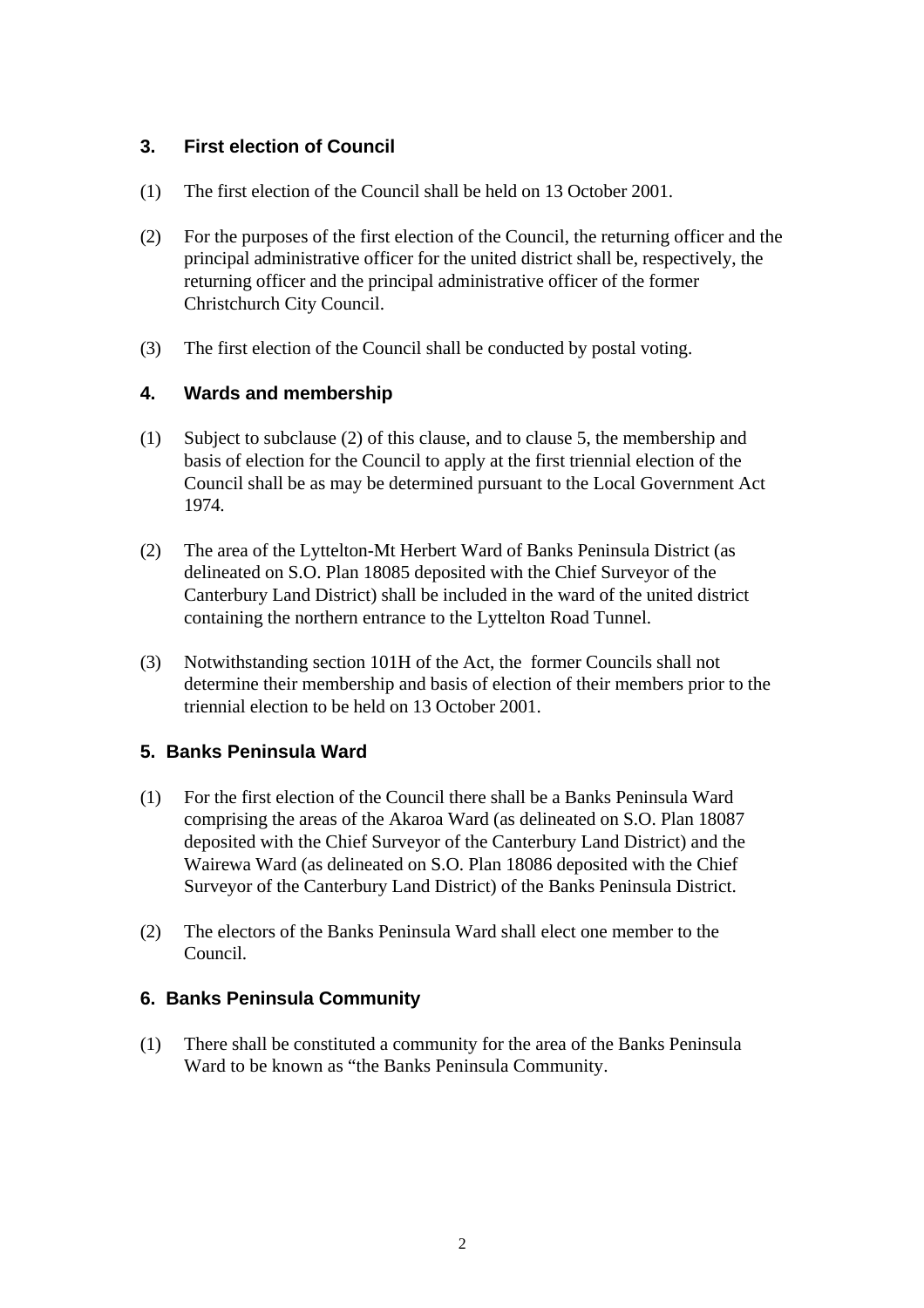#### **3. First election of Council**

- (1) The first election of the Council shall be held on 13 October 2001.
- (2) For the purposes of the first election of the Council, the returning officer and the principal administrative officer for the united district shall be, respectively, the returning officer and the principal administrative officer of the former Christchurch City Council.
- (3) The first election of the Council shall be conducted by postal voting.

#### **4. Wards and membership**

- (1) Subject to subclause (2) of this clause, and to clause 5, the membership and basis of election for the Council to apply at the first triennial election of the Council shall be as may be determined pursuant to the Local Government Act 1974.
- (2) The area of the Lyttelton-Mt Herbert Ward of Banks Peninsula District (as delineated on S.O. Plan 18085 deposited with the Chief Surveyor of the Canterbury Land District) shall be included in the ward of the united district containing the northern entrance to the Lyttelton Road Tunnel.
- (3) Notwithstanding section 101H of the Act, the former Councils shall not determine their membership and basis of election of their members prior to the triennial election to be held on 13 October 2001.

#### **5. Banks Peninsula Ward**

- (1) For the first election of the Council there shall be a Banks Peninsula Ward comprising the areas of the Akaroa Ward (as delineated on S.O. Plan 18087 deposited with the Chief Surveyor of the Canterbury Land District) and the Wairewa Ward (as delineated on S.O. Plan 18086 deposited with the Chief Surveyor of the Canterbury Land District) of the Banks Peninsula District.
- (2) The electors of the Banks Peninsula Ward shall elect one member to the Council.

#### **6. Banks Peninsula Community**

(1) There shall be constituted a community for the area of the Banks Peninsula Ward to be known as "the Banks Peninsula Community.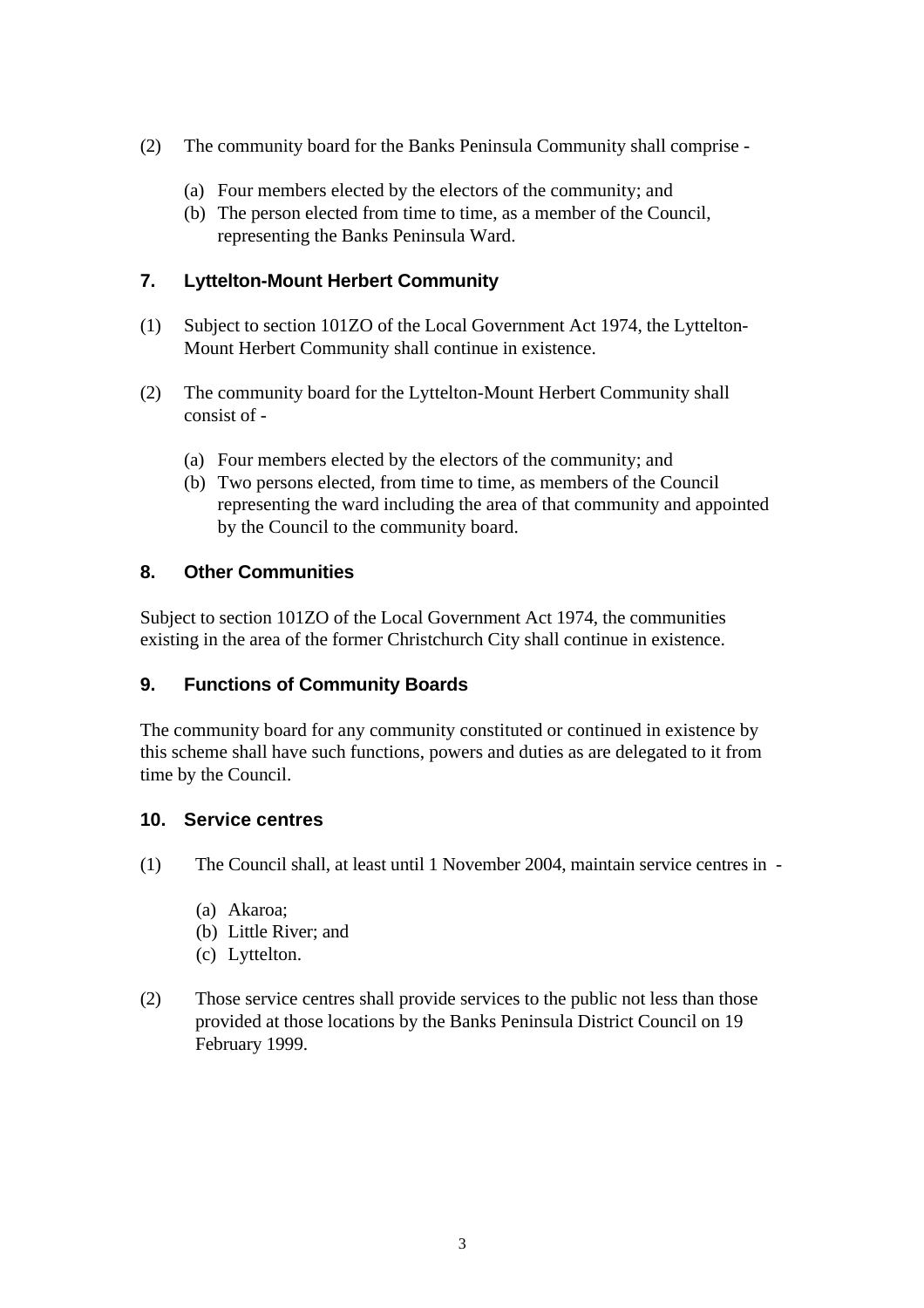- (2) The community board for the Banks Peninsula Community shall comprise
	- (a) Four members elected by the electors of the community; and
	- (b) The person elected from time to time, as a member of the Council, representing the Banks Peninsula Ward.

## **7. Lyttelton-Mount Herbert Community**

- (1) Subject to section 101ZO of the Local Government Act 1974, the Lyttelton-Mount Herbert Community shall continue in existence.
- (2) The community board for the Lyttelton-Mount Herbert Community shall consist of -
	- (a) Four members elected by the electors of the community; and
	- (b) Two persons elected, from time to time, as members of the Council representing the ward including the area of that community and appointed by the Council to the community board.

#### **8. Other Communities**

Subject to section 101ZO of the Local Government Act 1974, the communities existing in the area of the former Christchurch City shall continue in existence.

## **9. Functions of Community Boards**

The community board for any community constituted or continued in existence by this scheme shall have such functions, powers and duties as are delegated to it from time by the Council.

## **10. Service centres**

- (1) The Council shall, at least until 1 November 2004, maintain service centres in
	- (a) Akaroa;
	- (b) Little River; and
	- (c) Lyttelton.
- (2) Those service centres shall provide services to the public not less than those provided at those locations by the Banks Peninsula District Council on 19 February 1999.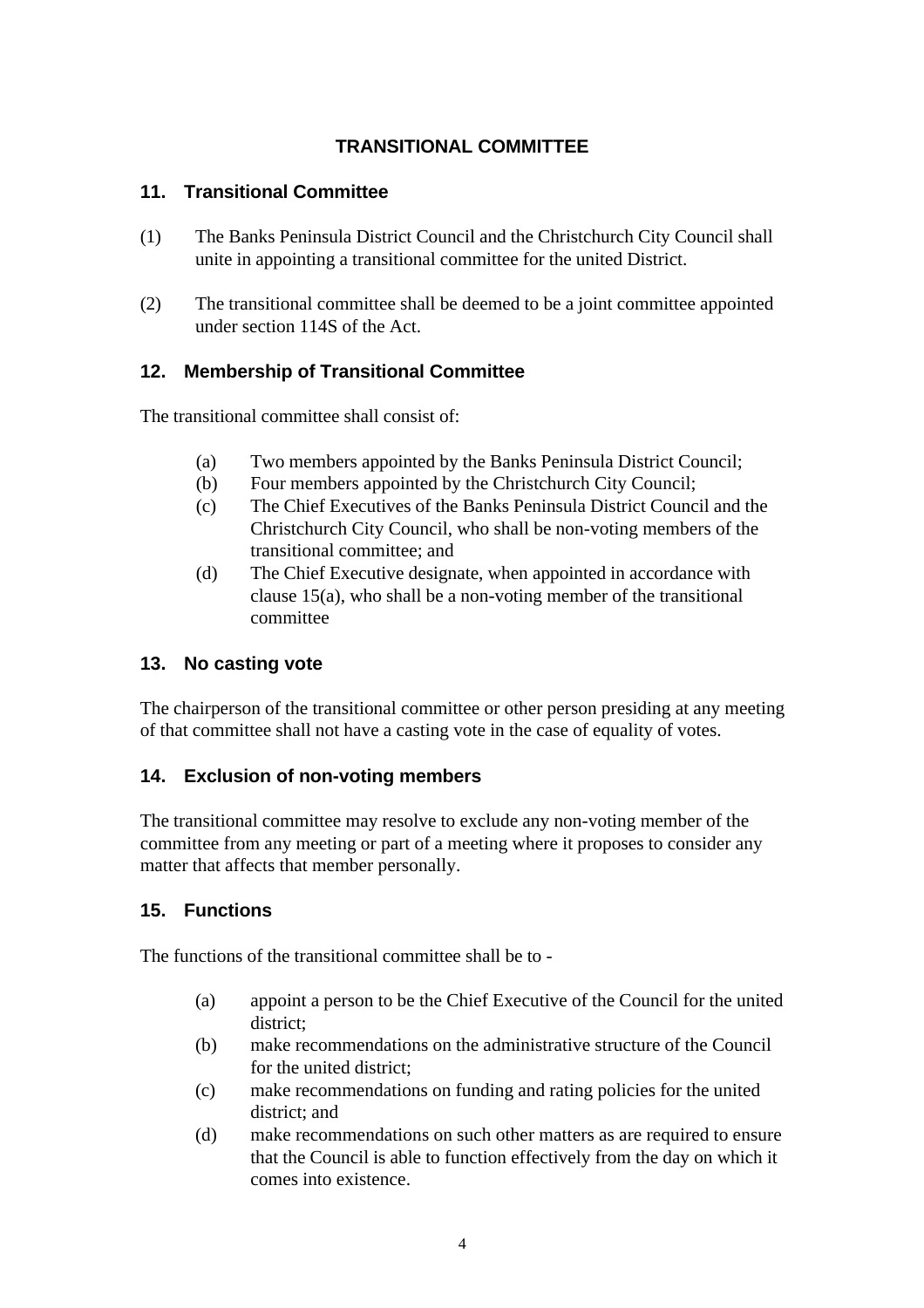# **TRANSITIONAL COMMITTEE**

#### **11. Transitional Committee**

- (1) The Banks Peninsula District Council and the Christchurch City Council shall unite in appointing a transitional committee for the united District.
- (2) The transitional committee shall be deemed to be a joint committee appointed under section 114S of the Act.

## **12. Membership of Transitional Committee**

The transitional committee shall consist of:

- (a) Two members appointed by the Banks Peninsula District Council;
- (b) Four members appointed by the Christchurch City Council;
- (c) The Chief Executives of the Banks Peninsula District Council and the Christchurch City Council, who shall be non-voting members of the transitional committee; and
- (d) The Chief Executive designate, when appointed in accordance with clause 15(a), who shall be a non-voting member of the transitional committee

#### **13. No casting vote**

The chairperson of the transitional committee or other person presiding at any meeting of that committee shall not have a casting vote in the case of equality of votes.

#### **14. Exclusion of non-voting members**

The transitional committee may resolve to exclude any non-voting member of the committee from any meeting or part of a meeting where it proposes to consider any matter that affects that member personally.

#### **15. Functions**

The functions of the transitional committee shall be to -

- (a) appoint a person to be the Chief Executive of the Council for the united district;
- (b) make recommendations on the administrative structure of the Council for the united district;
- (c) make recommendations on funding and rating policies for the united district; and
- (d) make recommendations on such other matters as are required to ensure that the Council is able to function effectively from the day on which it comes into existence.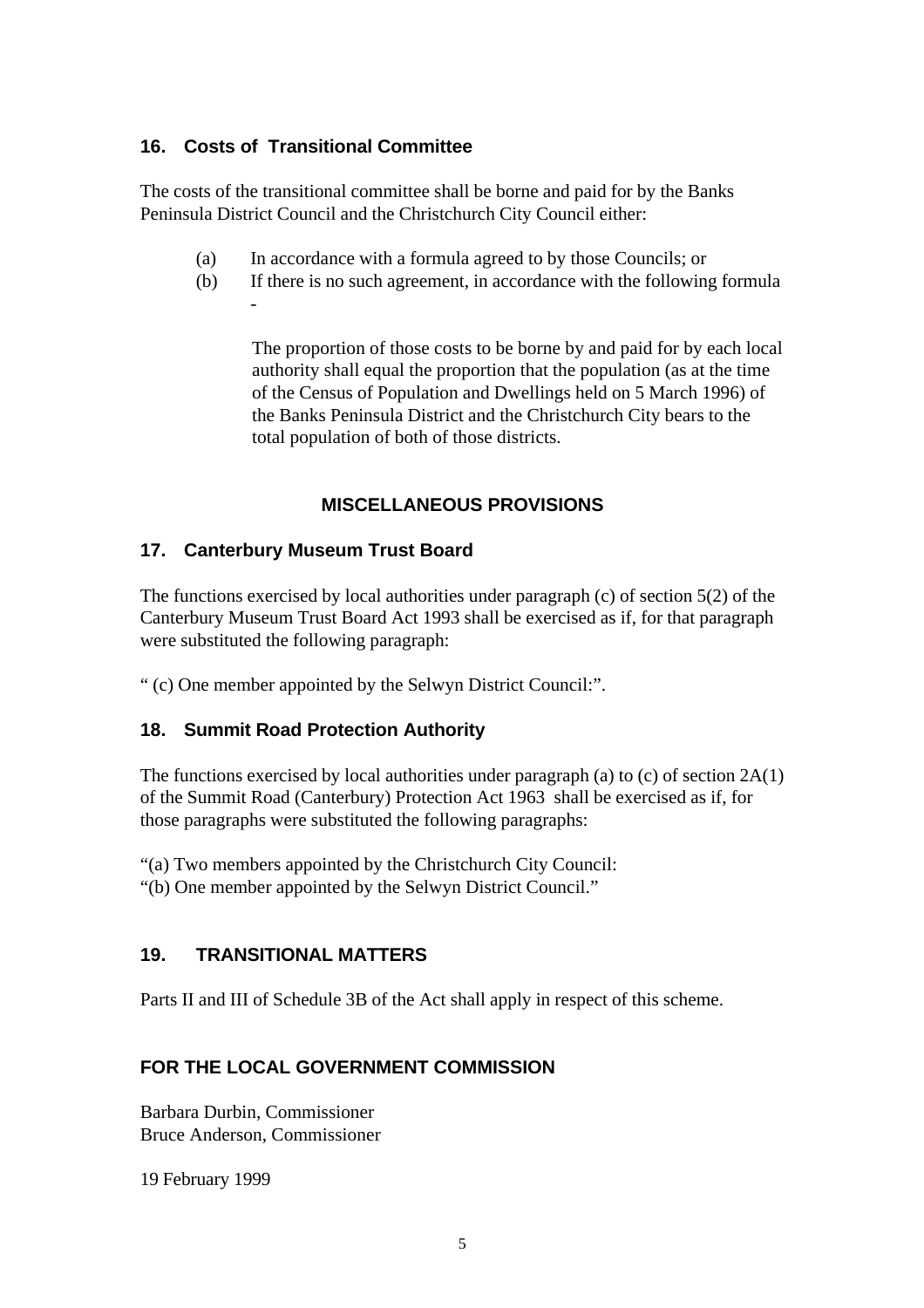## **16. Costs of Transitional Committee**

The costs of the transitional committee shall be borne and paid for by the Banks Peninsula District Council and the Christchurch City Council either:

- (a) In accordance with a formula agreed to by those Councils; or
- (b) If there is no such agreement, in accordance with the following formula -

The proportion of those costs to be borne by and paid for by each local authority shall equal the proportion that the population (as at the time of the Census of Population and Dwellings held on 5 March 1996) of the Banks Peninsula District and the Christchurch City bears to the total population of both of those districts.

## **MISCELLANEOUS PROVISIONS**

## **17. Canterbury Museum Trust Board**

The functions exercised by local authorities under paragraph (c) of section 5(2) of the Canterbury Museum Trust Board Act 1993 shall be exercised as if, for that paragraph were substituted the following paragraph:

" (c) One member appointed by the Selwyn District Council:".

## **18. Summit Road Protection Authority**

The functions exercised by local authorities under paragraph (a) to (c) of section 2A(1) of the Summit Road (Canterbury) Protection Act 1963 shall be exercised as if, for those paragraphs were substituted the following paragraphs:

"(a) Two members appointed by the Christchurch City Council:

"(b) One member appointed by the Selwyn District Council."

## **19. TRANSITIONAL MATTERS**

Parts II and III of Schedule 3B of the Act shall apply in respect of this scheme.

# **FOR THE LOCAL GOVERNMENT COMMISSION**

Barbara Durbin, Commissioner Bruce Anderson, Commissioner

19 February 1999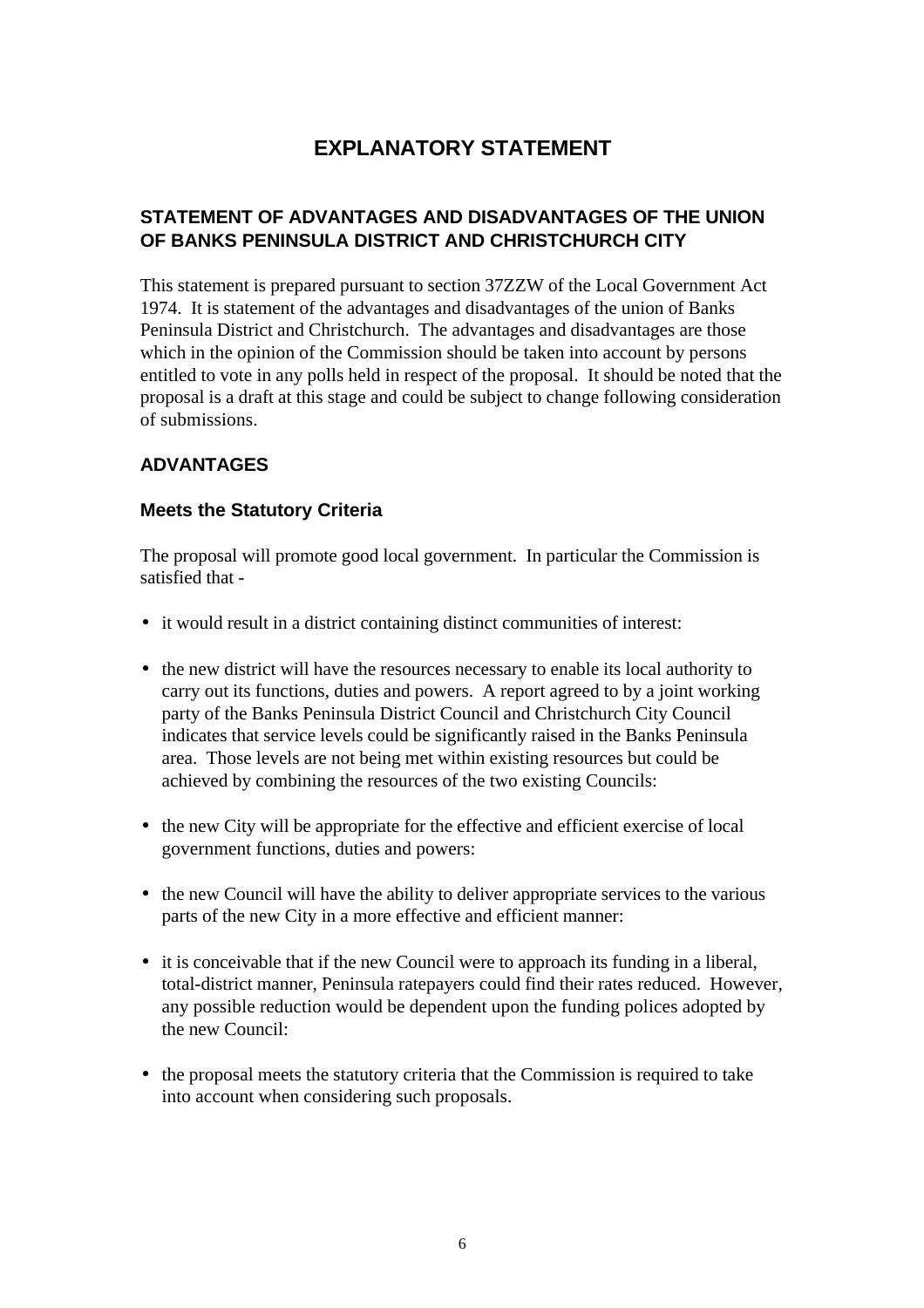# **EXPLANATORY STATEMENT**

## **STATEMENT OF ADVANTAGES AND DISADVANTAGES OF THE UNION OF BANKS PENINSULA DISTRICT AND CHRISTCHURCH CITY**

This statement is prepared pursuant to section 37ZZW of the Local Government Act 1974. It is statement of the advantages and disadvantages of the union of Banks Peninsula District and Christchurch. The advantages and disadvantages are those which in the opinion of the Commission should be taken into account by persons entitled to vote in any polls held in respect of the proposal. It should be noted that the proposal is a draft at this stage and could be subject to change following consideration of submissions.

## **ADVANTAGES**

#### **Meets the Statutory Criteria**

The proposal will promote good local government. In particular the Commission is satisfied that -

- it would result in a district containing distinct communities of interest:
- the new district will have the resources necessary to enable its local authority to carry out its functions, duties and powers. A report agreed to by a joint working party of the Banks Peninsula District Council and Christchurch City Council indicates that service levels could be significantly raised in the Banks Peninsula area. Those levels are not being met within existing resources but could be achieved by combining the resources of the two existing Councils:
- the new City will be appropriate for the effective and efficient exercise of local government functions, duties and powers:
- the new Council will have the ability to deliver appropriate services to the various parts of the new City in a more effective and efficient manner:
- it is conceivable that if the new Council were to approach its funding in a liberal, total-district manner, Peninsula ratepayers could find their rates reduced. However, any possible reduction would be dependent upon the funding polices adopted by the new Council:
- the proposal meets the statutory criteria that the Commission is required to take into account when considering such proposals.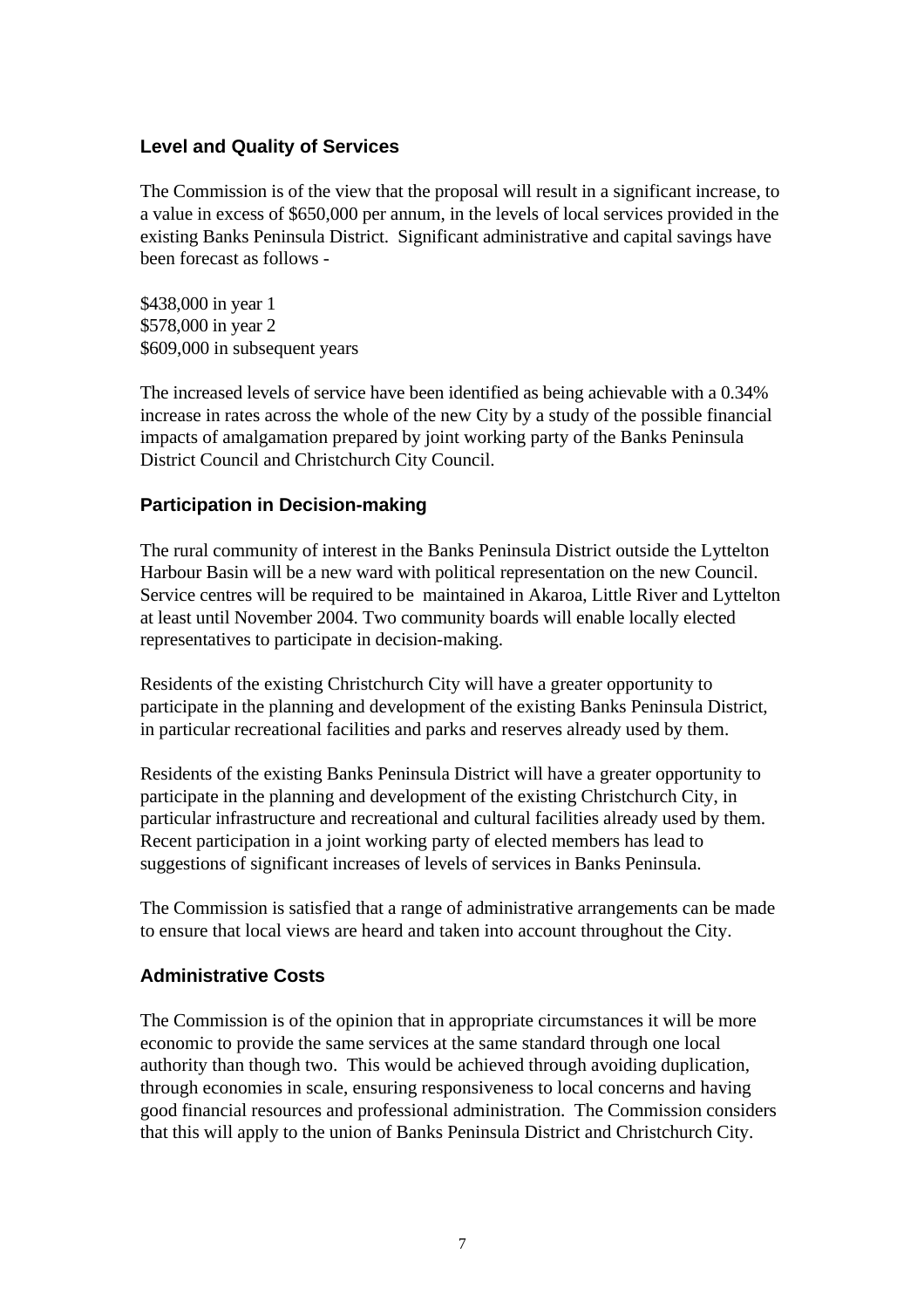#### **Level and Quality of Services**

The Commission is of the view that the proposal will result in a significant increase, to a value in excess of \$650,000 per annum, in the levels of local services provided in the existing Banks Peninsula District. Significant administrative and capital savings have been forecast as follows -

\$438,000 in year 1 \$578,000 in year 2 \$609,000 in subsequent years

The increased levels of service have been identified as being achievable with a 0.34% increase in rates across the whole of the new City by a study of the possible financial impacts of amalgamation prepared by joint working party of the Banks Peninsula District Council and Christchurch City Council.

#### **Participation in Decision-making**

The rural community of interest in the Banks Peninsula District outside the Lyttelton Harbour Basin will be a new ward with political representation on the new Council. Service centres will be required to be maintained in Akaroa, Little River and Lyttelton at least until November 2004. Two community boards will enable locally elected representatives to participate in decision-making.

Residents of the existing Christchurch City will have a greater opportunity to participate in the planning and development of the existing Banks Peninsula District, in particular recreational facilities and parks and reserves already used by them.

Residents of the existing Banks Peninsula District will have a greater opportunity to participate in the planning and development of the existing Christchurch City, in particular infrastructure and recreational and cultural facilities already used by them. Recent participation in a joint working party of elected members has lead to suggestions of significant increases of levels of services in Banks Peninsula.

The Commission is satisfied that a range of administrative arrangements can be made to ensure that local views are heard and taken into account throughout the City.

#### **Administrative Costs**

The Commission is of the opinion that in appropriate circumstances it will be more economic to provide the same services at the same standard through one local authority than though two. This would be achieved through avoiding duplication, through economies in scale, ensuring responsiveness to local concerns and having good financial resources and professional administration. The Commission considers that this will apply to the union of Banks Peninsula District and Christchurch City.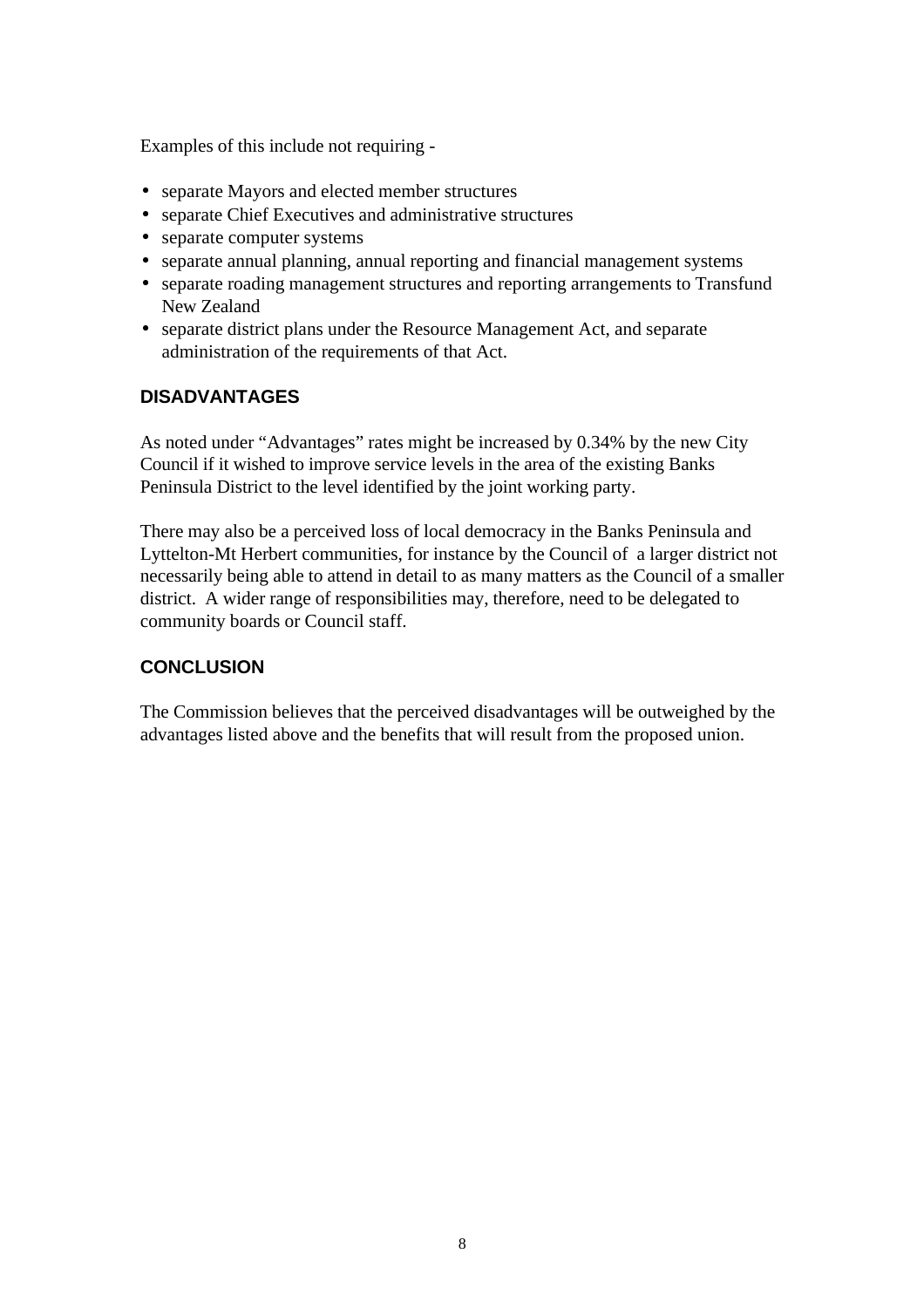Examples of this include not requiring -

- separate Mayors and elected member structures
- separate Chief Executives and administrative structures
- separate computer systems
- separate annual planning, annual reporting and financial management systems
- separate roading management structures and reporting arrangements to Transfund New Zealand
- separate district plans under the Resource Management Act, and separate administration of the requirements of that Act.

## **DISADVANTAGES**

As noted under "Advantages" rates might be increased by 0.34% by the new City Council if it wished to improve service levels in the area of the existing Banks Peninsula District to the level identified by the joint working party.

There may also be a perceived loss of local democracy in the Banks Peninsula and Lyttelton-Mt Herbert communities, for instance by the Council of a larger district not necessarily being able to attend in detail to as many matters as the Council of a smaller district. A wider range of responsibilities may, therefore, need to be delegated to community boards or Council staff.

## **CONCLUSION**

The Commission believes that the perceived disadvantages will be outweighed by the advantages listed above and the benefits that will result from the proposed union.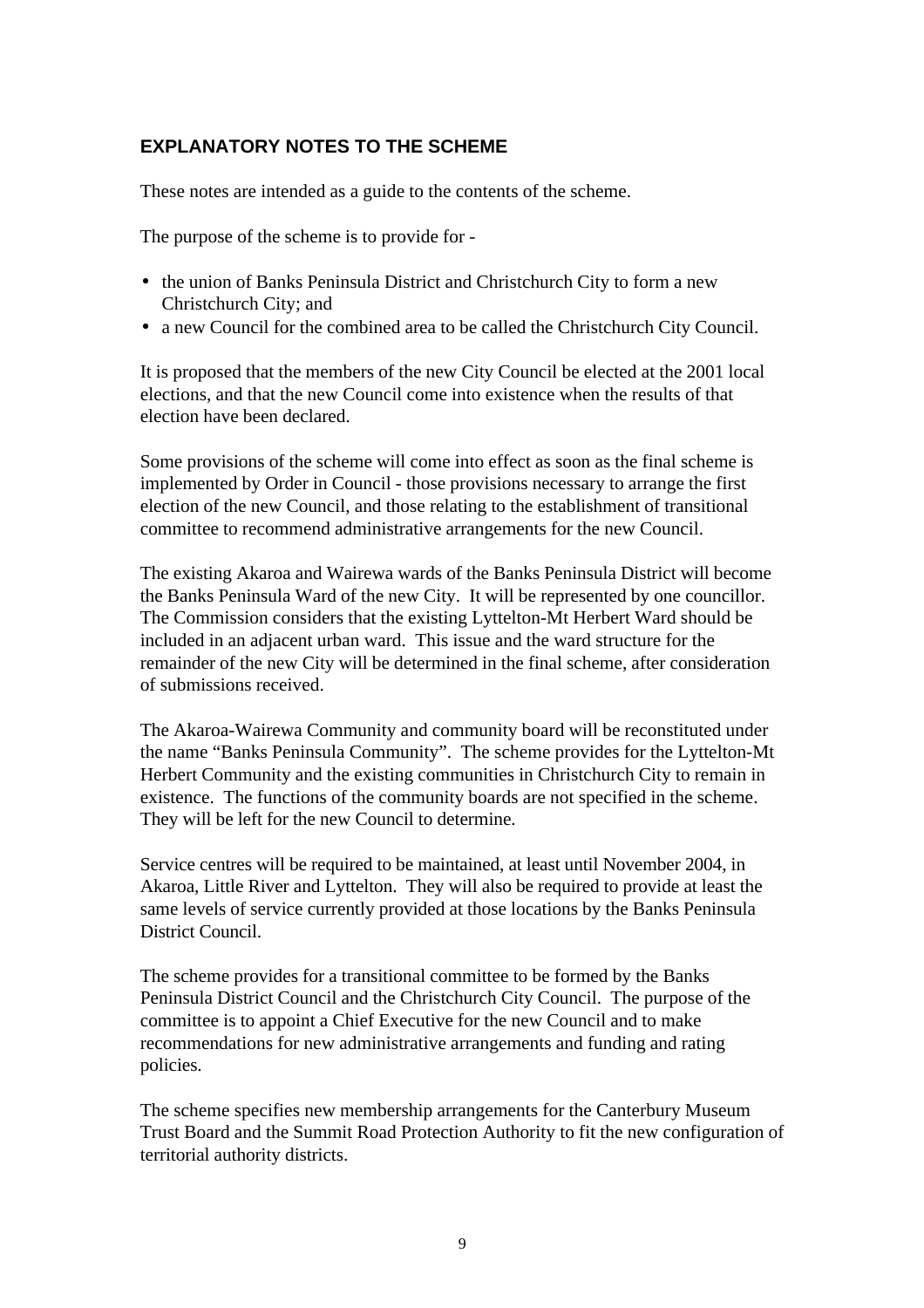## **EXPLANATORY NOTES TO THE SCHEME**

These notes are intended as a guide to the contents of the scheme.

The purpose of the scheme is to provide for -

- the union of Banks Peninsula District and Christchurch City to form a new Christchurch City; and
- a new Council for the combined area to be called the Christchurch City Council.

It is proposed that the members of the new City Council be elected at the 2001 local elections, and that the new Council come into existence when the results of that election have been declared.

Some provisions of the scheme will come into effect as soon as the final scheme is implemented by Order in Council - those provisions necessary to arrange the first election of the new Council, and those relating to the establishment of transitional committee to recommend administrative arrangements for the new Council.

The existing Akaroa and Wairewa wards of the Banks Peninsula District will become the Banks Peninsula Ward of the new City. It will be represented by one councillor. The Commission considers that the existing Lyttelton-Mt Herbert Ward should be included in an adjacent urban ward. This issue and the ward structure for the remainder of the new City will be determined in the final scheme, after consideration of submissions received.

The Akaroa-Wairewa Community and community board will be reconstituted under the name "Banks Peninsula Community". The scheme provides for the Lyttelton-Mt Herbert Community and the existing communities in Christchurch City to remain in existence. The functions of the community boards are not specified in the scheme. They will be left for the new Council to determine.

Service centres will be required to be maintained, at least until November 2004, in Akaroa, Little River and Lyttelton. They will also be required to provide at least the same levels of service currently provided at those locations by the Banks Peninsula District Council.

The scheme provides for a transitional committee to be formed by the Banks Peninsula District Council and the Christchurch City Council. The purpose of the committee is to appoint a Chief Executive for the new Council and to make recommendations for new administrative arrangements and funding and rating policies.

The scheme specifies new membership arrangements for the Canterbury Museum Trust Board and the Summit Road Protection Authority to fit the new configuration of territorial authority districts.